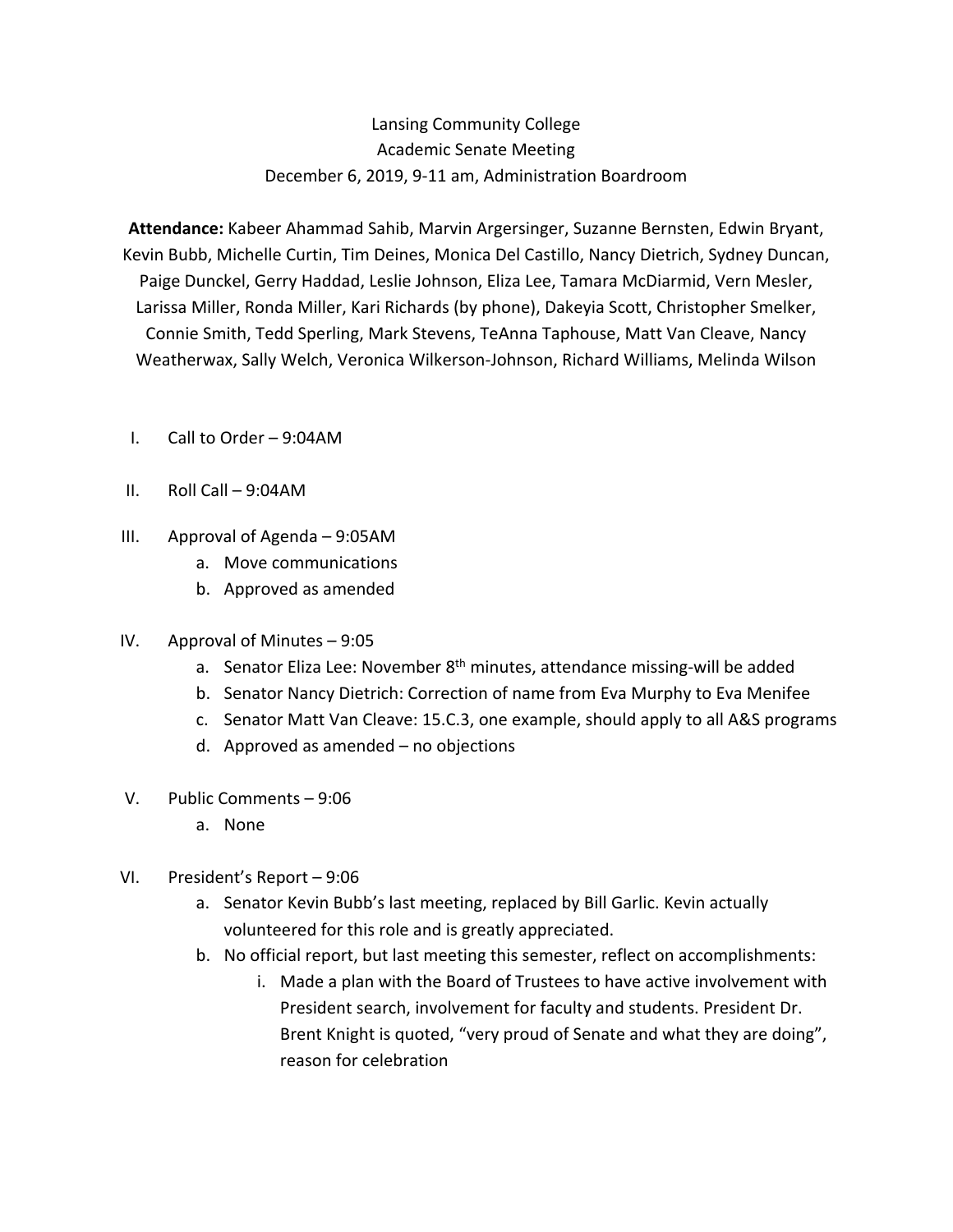## Lansing Community College Academic Senate Meeting December 6, 2019, 9-11 am, Administration Boardroom

 **Attendance:** Kabeer Ahammad Sahib, Marvin Argersinger, Suzanne Bernsten, Edwin Bryant, Kevin Bubb, Michelle Curtin, Tim Deines, Monica Del Castillo, Nancy Dietrich, Sydney Duncan, Paige Dunckel, Gerry Haddad, Leslie Johnson, Eliza Lee, Tamara McDiarmid, Vern Mesler, Larissa Miller, Ronda Miller, Kari Richards (by phone), Dakeyia Scott, Christopher Smelker, Connie Smith, Tedd Sperling, Mark Stevens, TeAnna Taphouse, Matt Van Cleave, Nancy Weatherwax, Sally Welch, Veronica Wilkerson-Johnson, Richard Williams, Melinda Wilson

- I. Call to Order 9:04AM
- II. Roll Call 9:04AM
- III. Approval of Agenda 9:05AM
	- a. Move communications
	- b. Approved as amended
- IV. Approval of Minutes 9:05
	- a. Senator Eliza Lee: November 8<sup>th</sup> minutes, attendance missing-will be added
	- b. Senator Nancy Dietrich: Correction of name from Eva Murphy to Eva Menifee
	- c. Senator Matt Van Cleave: 15.C.3, one example, should apply to all A&S programs
	- d. Approved as amended no objections
- V. Public Comments 9:06
	- a. None
- VI. President's Report 9:06
	- a. Senator Kevin Bubb's last meeting, replaced by Bill Garlic. Kevin actually volunteered for this role and is greatly appreciated.
	- b. No official report, but last meeting this semester, reflect on accomplishments:
		- i. Made a plan with the Board of Trustees to have active involvement with President search, involvement for faculty and students. President Dr. Brent Knight is quoted, "very proud of Senate and what they are doing", reason for celebration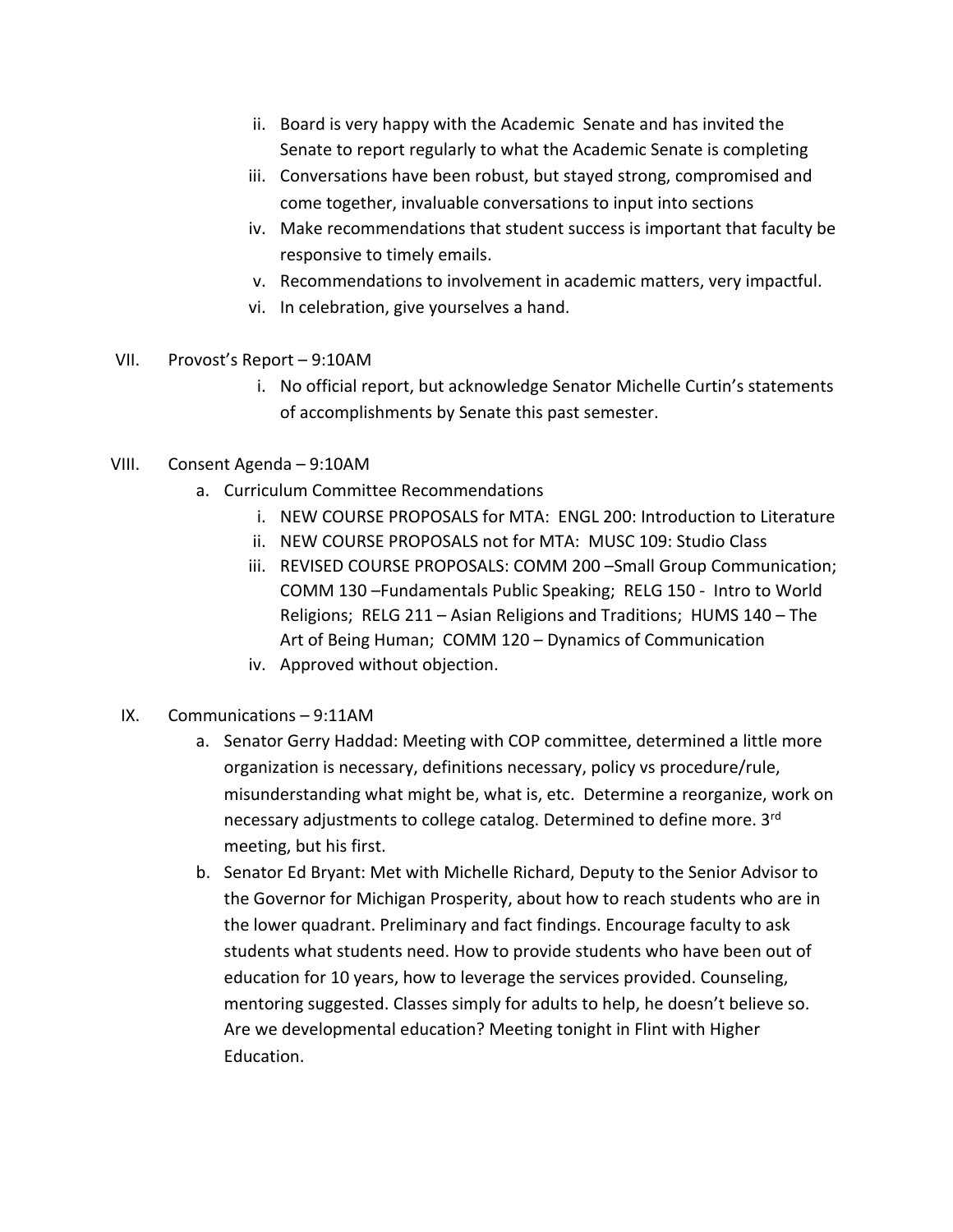- ii. Board is very happy with the Academic Senate and has invited the Senate to report regularly to what the Academic Senate is completing
- iii. Conversations have been robust, but stayed strong, compromised and come together, invaluable conversations to input into sections
- iv. Make recommendations that student success is important that faculty be responsive to timely emails.
- v. Recommendations to involvement in academic matters, very impactful.
- vi. In celebration, give yourselves a hand.
- VII. Provost's Report 9:10AM
	- i. No official report, but acknowledge Senator Michelle Curtin's statements of accomplishments by Senate this past semester.
- VIII. Consent Agenda 9:10AM
	- a. Curriculum Committee Recommendations
		- i. NEW COURSE PROPOSALS for MTA: ENGL 200: Introduction to Literature
		- ii. NEW COURSE PROPOSALS not for MTA: MUSC 109: Studio Class
		- iii. REVISED COURSE PROPOSALS: COMM 200 –Small Group Communication; COMM 130 –Fundamentals Public Speaking; RELG 150 - Intro to World Religions; RELG 211 – Asian Religions and Traditions; HUMS 140 – The Art of Being Human; COMM 120 – Dynamics of Communication
		- iv. Approved without objection.
- IX. Communications 9:11AM
	- a. Senator Gerry Haddad: Meeting with COP committee, determined a little more organization is necessary, definitions necessary, policy vs procedure/rule, misunderstanding what might be, what is, etc. Determine a reorganize, work on necessary adjustments to college catalog. Determined to define more. 3<sup>rd</sup> meeting, but his first.
	- b. Senator Ed Bryant: Met with Michelle Richard, Deputy to the Senior Advisor to the Governor for Michigan Prosperity, about how to reach students who are in the lower quadrant. Preliminary and fact findings. Encourage faculty to ask students what students need. How to provide students who have been out of education for 10 years, how to leverage the services provided. Counseling, mentoring suggested. Classes simply for adults to help, he doesn't believe so. Are we developmental education? Meeting tonight in Flint with Higher Education.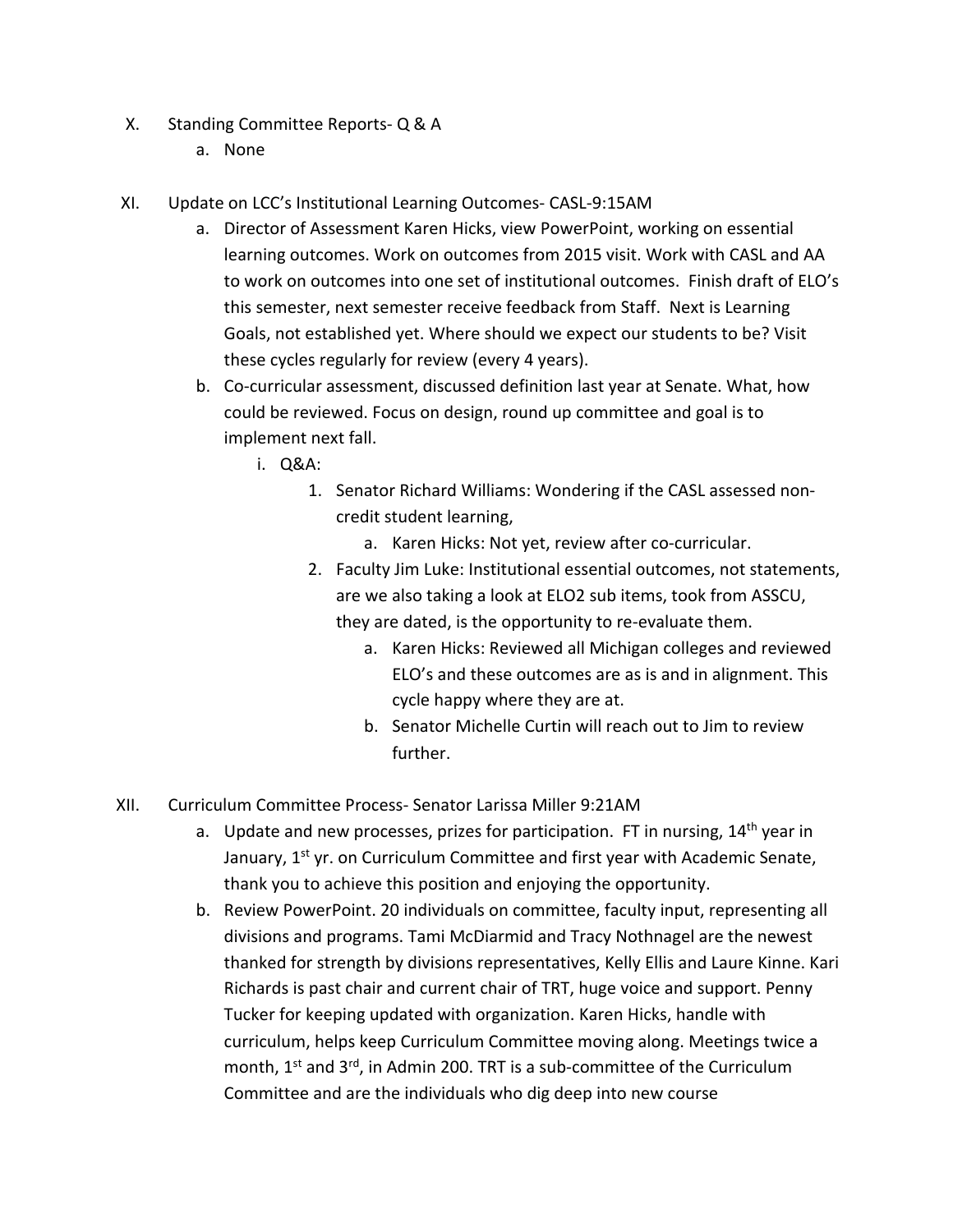- X. Standing Committee Reports- Q & A
	- a. None
- XI. Update on LCC's Institutional Learning Outcomes- CASL-9:15AM
	- a. Director of Assessment Karen Hicks, view PowerPoint, working on essential learning outcomes. Work on outcomes from 2015 visit. Work with CASL and AA to work on outcomes into one set of institutional outcomes. Finish draft of ELO's this semester, next semester receive feedback from Staff. Next is Learning Goals, not established yet. Where should we expect our students to be? Visit these cycles regularly for review (every 4 years).
	- b. Co-curricular assessment, discussed definition last year at Senate. What, how could be reviewed. Focus on design, round up committee and goal is to implement next fall.
		- i. Q&A:
		- i. Q&A: 1. Senator Richard Williams: Wondering if the CASL assessed noncredit student learning,
			- a. Karen Hicks: Not yet, review after co-curricular.
			- 2. Faculty Jim Luke: Institutional essential outcomes, not statements, are we also taking a look at ELO2 sub items, took from ASSCU, they are dated, is the opportunity to re-evaluate them.
				- a. Karen Hicks: Reviewed all Michigan colleges and reviewed ELO's and these outcomes are as is and in alignment. This cycle happy where they are at.
				- b. Senator Michelle Curtin will reach out to Jim to review further.
- XII. Curriculum Committee Process- Senator Larissa Miller 9:21AM
	- a. Update and new processes, prizes for participation. FT in nursing, 14<sup>th</sup> year in January, 1<sup>st</sup> yr. on Curriculum Committee and first year with Academic Senate, thank you to achieve this position and enjoying the opportunity.
	- b. Review PowerPoint. 20 individuals on committee, faculty input, representing all divisions and programs. Tami McDiarmid and Tracy Nothnagel are the newest thanked for strength by divisions representatives, Kelly Ellis and Laure Kinne. Kari Richards is past chair and current chair of TRT, huge voice and support. Penny Tucker for keeping updated with organization. Karen Hicks, handle with curriculum, helps keep Curriculum Committee moving along. Meetings twice a month, 1<sup>st</sup> and 3<sup>rd</sup>, in Admin 200. TRT is a sub-committee of the Curriculum Committee and are the individuals who dig deep into new course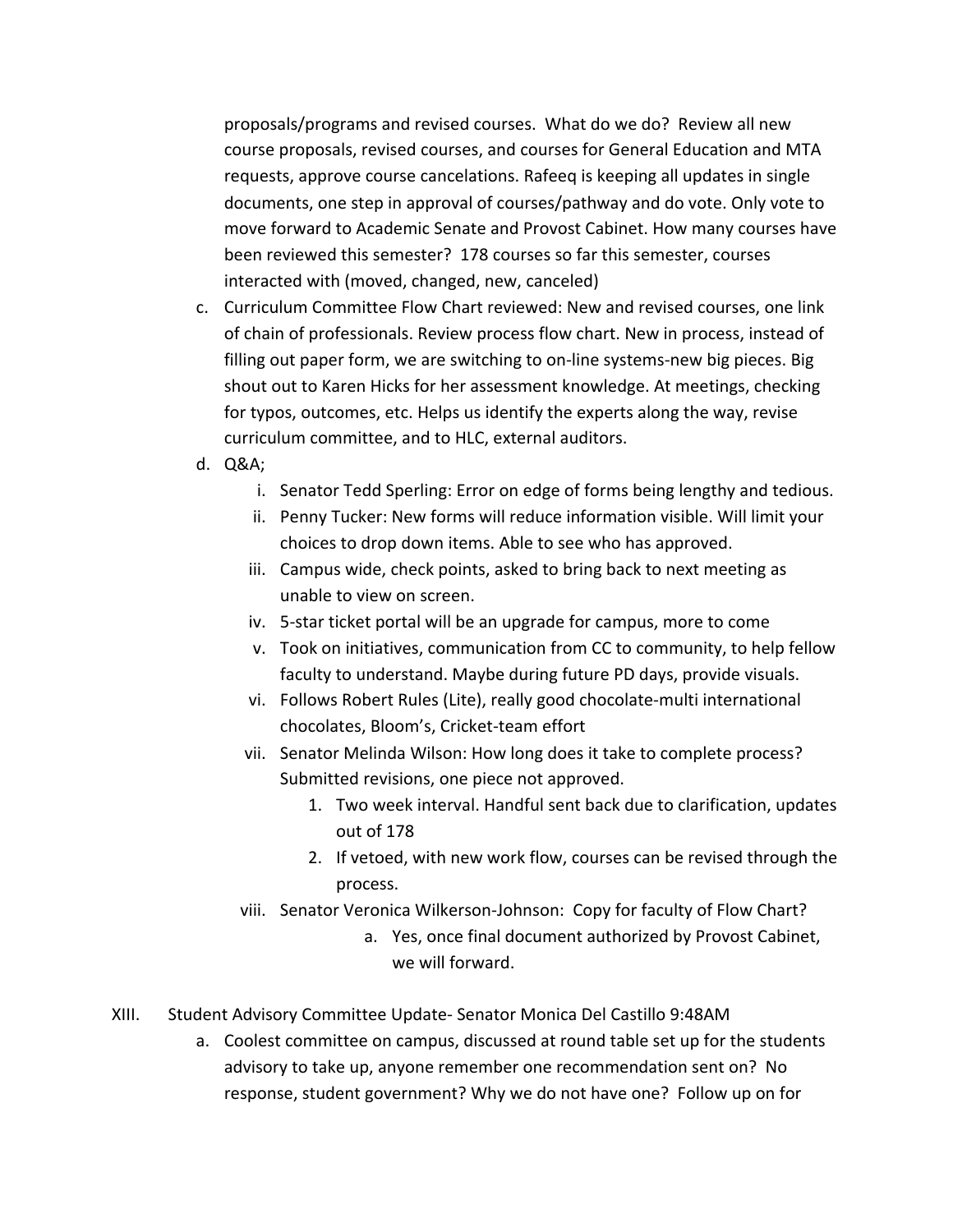proposals/programs and revised courses. What do we do? Review all new course proposals, revised courses, and courses for General Education and MTA requests, approve course cancelations. Rafeeq is keeping all updates in single documents, one step in approval of courses/pathway and do vote. Only vote to move forward to Academic Senate and Provost Cabinet. How many courses have been reviewed this semester? 178 courses so far this semester, courses interacted with (moved, changed, new, canceled)

- c. Curriculum Committee Flow Chart reviewed: New and revised courses, one link of chain of professionals. Review process flow chart. New in process, instead of filling out paper form, we are switching to on-line systems-new big pieces. Big shout out to Karen Hicks for her assessment knowledge. At meetings, checking for typos, outcomes, etc. Helps us identify the experts along the way, revise curriculum committee, and to HLC, external auditors.
- d. Q&A;
	- i. Senator Tedd Sperling: Error on edge of forms being lengthy and tedious.
	- ii. Penny Tucker: New forms will reduce information visible. Will limit your choices to drop down items. Able to see who has approved.
	- iii. Campus wide, check points, asked to bring back to next meeting as unable to view on screen.
	- iv. 5-star ticket portal will be an upgrade for campus, more to come
	- v. Took on initiatives, communication from CC to community, to help fellow faculty to understand. Maybe during future PD days, provide visuals.
	- vi. Follows Robert Rules (Lite), really good chocolate-multi international chocolates, Bloom's, Cricket-team effort
	- vii. Senator Melinda Wilson: How long does it take to complete process? Submitted revisions, one piece not approved.
		- 1. Two week interval. Handful sent back due to clarification, updates out of 178
		- 2. If vetoed, with new work flow, courses can be revised through the process.
	- viii. Senator Veronica Wilkerson-Johnson: Copy for faculty of Flow Chart?
		- a. Yes, once final document authorized by Provost Cabinet, we will forward.
- XIII. Student Advisory Committee Update- Senator Monica Del Castillo 9:48AM
	- a. Coolest committee on campus, discussed at round table set up for the students advisory to take up, anyone remember one recommendation sent on? No response, student government? Why we do not have one? Follow up on for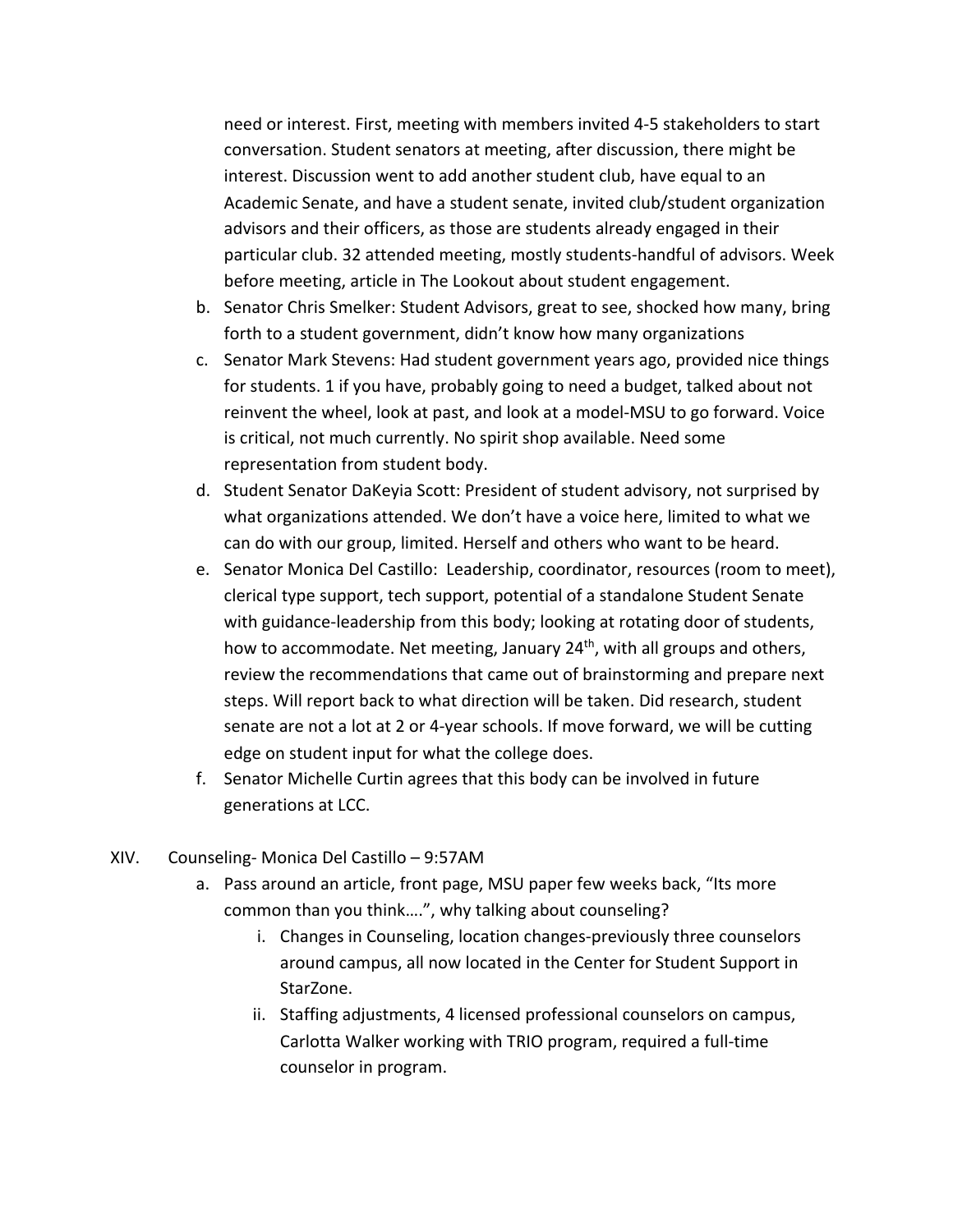need or interest. First, meeting with members invited 4-5 stakeholders to start conversation. Student senators at meeting, after discussion, there might be interest. Discussion went to add another student club, have equal to an Academic Senate, and have a student senate, invited club/student organization advisors and their officers, as those are students already engaged in their particular club. 32 attended meeting, mostly students-handful of advisors. Week before meeting, article in The Lookout about student engagement.

- b. Senator Chris Smelker: Student Advisors, great to see, shocked how many, bring forth to a student government, didn't know how many organizations
- c. Senator Mark Stevens: Had student government years ago, provided nice things for students. 1 if you have, probably going to need a budget, talked about not reinvent the wheel, look at past, and look at a model-MSU to go forward. Voice is critical, not much currently. No spirit shop available. Need some representation from student body.
- d. Student Senator DaKeyia Scott: President of student advisory, not surprised by what organizations attended. We don't have a voice here, limited to what we can do with our group, limited. Herself and others who want to be heard.
- e. Senator Monica Del Castillo: Leadership, coordinator, resources (room to meet), clerical type support, tech support, potential of a standalone Student Senate with guidance-leadership from this body; looking at rotating door of students, how to accommodate. Net meeting, January 24<sup>th</sup>, with all groups and others, review the recommendations that came out of brainstorming and prepare next steps. Will report back to what direction will be taken. Did research, student senate are not a lot at 2 or 4-year schools. If move forward, we will be cutting edge on student input for what the college does.
- f. Senator Michelle Curtin agrees that this body can be involved in future generations at LCC.
- XIV. Counseling- Monica Del Castillo 9:57AM
	- a. Pass around an article, front page, MSU paper few weeks back, "Its more common than you think….", why talking about counseling?
		- i. Changes in Counseling, location changes-previously three counselors around campus, all now located in the Center for Student Support in StarZone.
		- StarZone. ii. Staffing adjustments, 4 licensed professional counselors on campus, Carlotta Walker working with TRIO program, required a full-time counselor in program.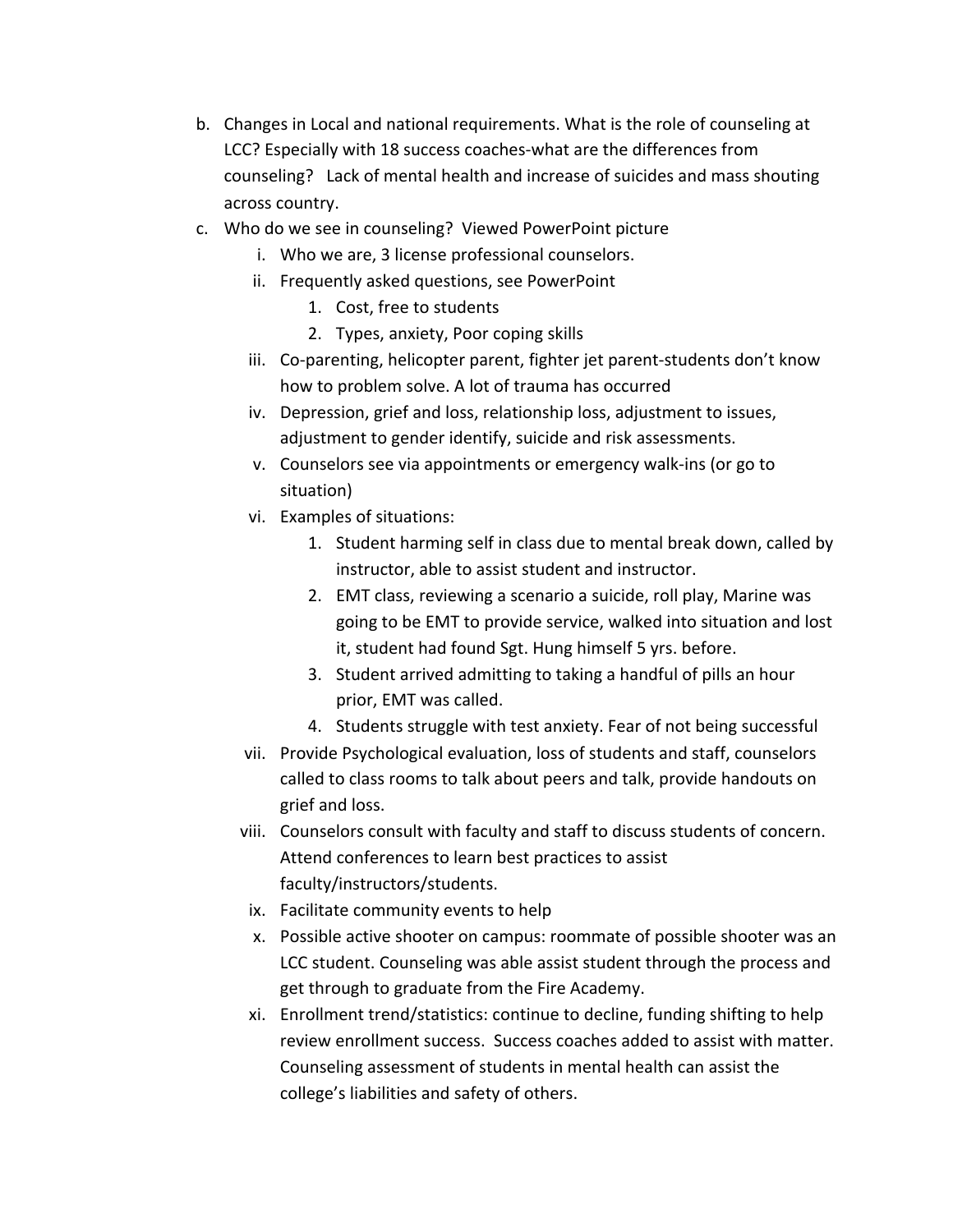- b. Changes in Local and national requirements. What is the role of counseling at LCC? Especially with 18 success coaches-what are the differences from counseling? Lack of mental health and increase of suicides and mass shouting across country.
- c. Who do we see in counseling? Viewed PowerPoint picture
	- i. Who we are, 3 license professional counselors.
	- ii. Frequently asked questions, see PowerPoint
		- 1. Cost, free to students
		- 2. Types, anxiety, Poor coping skills
	- iii. Co-parenting, helicopter parent, fighter jet parent-students don't know how to problem solve. A lot of trauma has occurred
	- iv. Depression, grief and loss, relationship loss, adjustment to issues, adjustment to gender identify, suicide and risk assessments.
	- v. Counselors see via appointments or emergency walk-ins (or go to situation)
	- vi. Examples of situations:
		- 1. Student harming self in class due to mental break down, called by instructor, able to assist student and instructor.
		- 2. EMT class, reviewing a scenario a suicide, roll play, Marine was going to be EMT to provide service, walked into situation and lost it, student had found Sgt. Hung himself 5 yrs. before.
		- 3. Student arrived admitting to taking a handful of pills an hour prior, EMT was called.
		- 4. Students struggle with test anxiety. Fear of not being successful
	- vii. Provide Psychological evaluation, loss of students and staff, counselors called to class rooms to talk about peers and talk, provide handouts on grief and loss.
	- viii. Counselors consult with faculty and staff to discuss students of concern. Attend conferences to learn best practices to assist faculty/instructors/students.
	- ix. Facilitate community events to help
	- x. Possible active shooter on campus: roommate of possible shooter was an LCC student. Counseling was able assist student through the process and get through to graduate from the Fire Academy.
	- xi. Enrollment trend/statistics: continue to decline, funding shifting to help review enrollment success. Success coaches added to assist with matter. Counseling assessment of students in mental health can assist the college's liabilities and safety of others.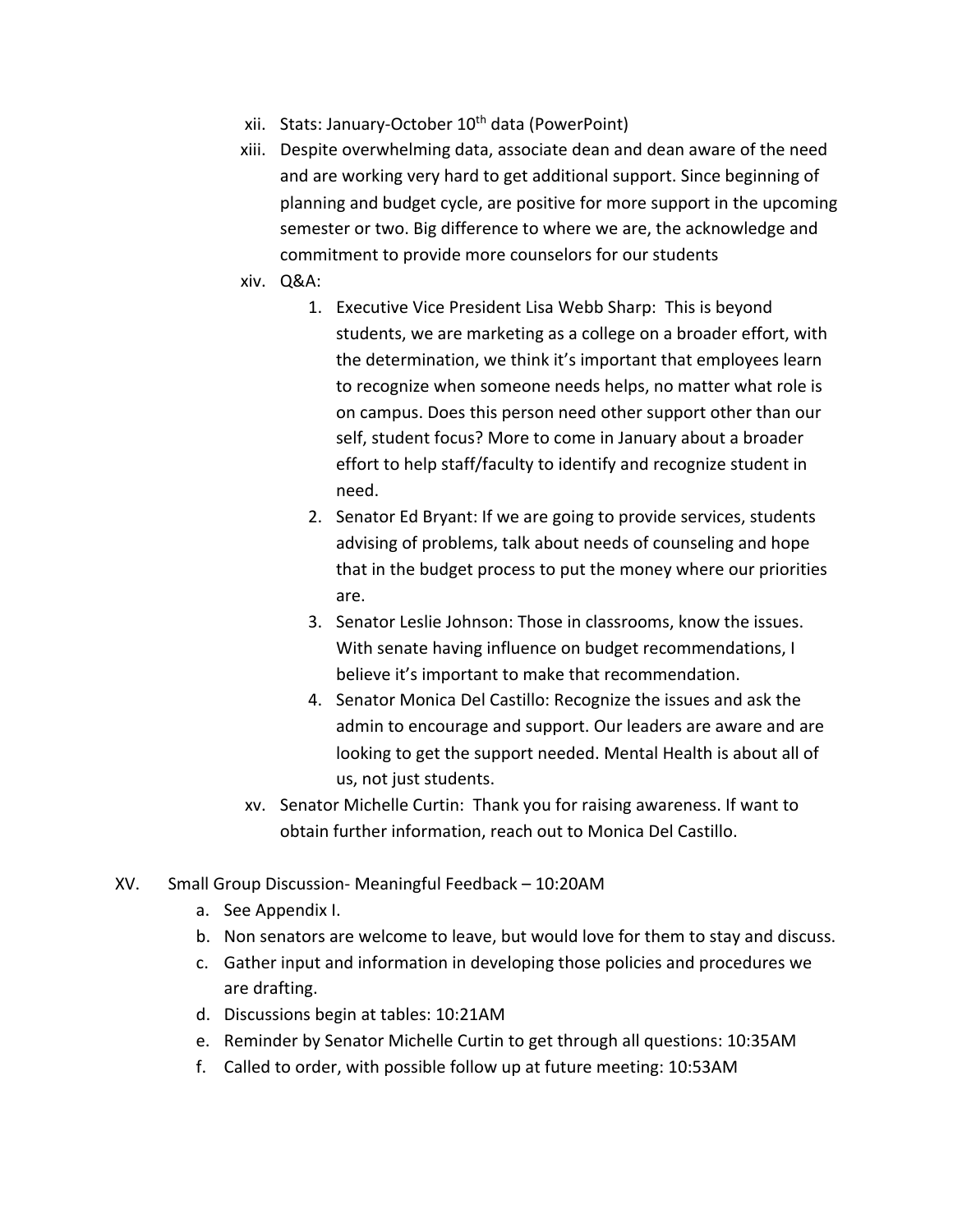- xii. Stats: January-October 10<sup>th</sup> data (PowerPoint)
- xiii. Despite overwhelming data, associate dean and dean aware of the need and are working very hard to get additional support. Since beginning of planning and budget cycle, are positive for more support in the upcoming semester or two. Big difference to where we are, the acknowledge and commitment to provide more counselors for our students
- xiv. Q&A:
	- 1. Executive Vice President Lisa Webb Sharp: This is beyond students, we are marketing as a college on a broader effort, with the determination, we think it's important that employees learn to recognize when someone needs helps, no matter what role is on campus. Does this person need other support other than our self, student focus? More to come in January about a broader effort to help staff/faculty to identify and recognize student in need.
	- 2. Senator Ed Bryant: If we are going to provide services, students advising of problems, talk about needs of counseling and hope that in the budget process to put the money where our priorities are.
	- 3. Senator Leslie Johnson: Those in classrooms, know the issues. With senate having influence on budget recommendations, I believe it's important to make that recommendation.
	- 4. Senator Monica Del Castillo: Recognize the issues and ask the admin to encourage and support. Our leaders are aware and are looking to get the support needed. Mental Health is about all of us, not just students.
- xv. Senator Michelle Curtin: Thank you for raising awareness. If want to obtain further information, reach out to Monica Del Castillo.
- XV. Small Group Discussion- Meaningful Feedback 10:20AM
	- a. See Appendix I.
	- b. Non senators are welcome to leave, but would love for them to stay and discuss.
	- c. Gather input and information in developing those policies and procedures we are drafting.
	- d. Discussions begin at tables: 10:21AM
	- e. Reminder by Senator Michelle Curtin to get through all questions: 10:35AM
	- f. Called to order, with possible follow up at future meeting: 10:53AM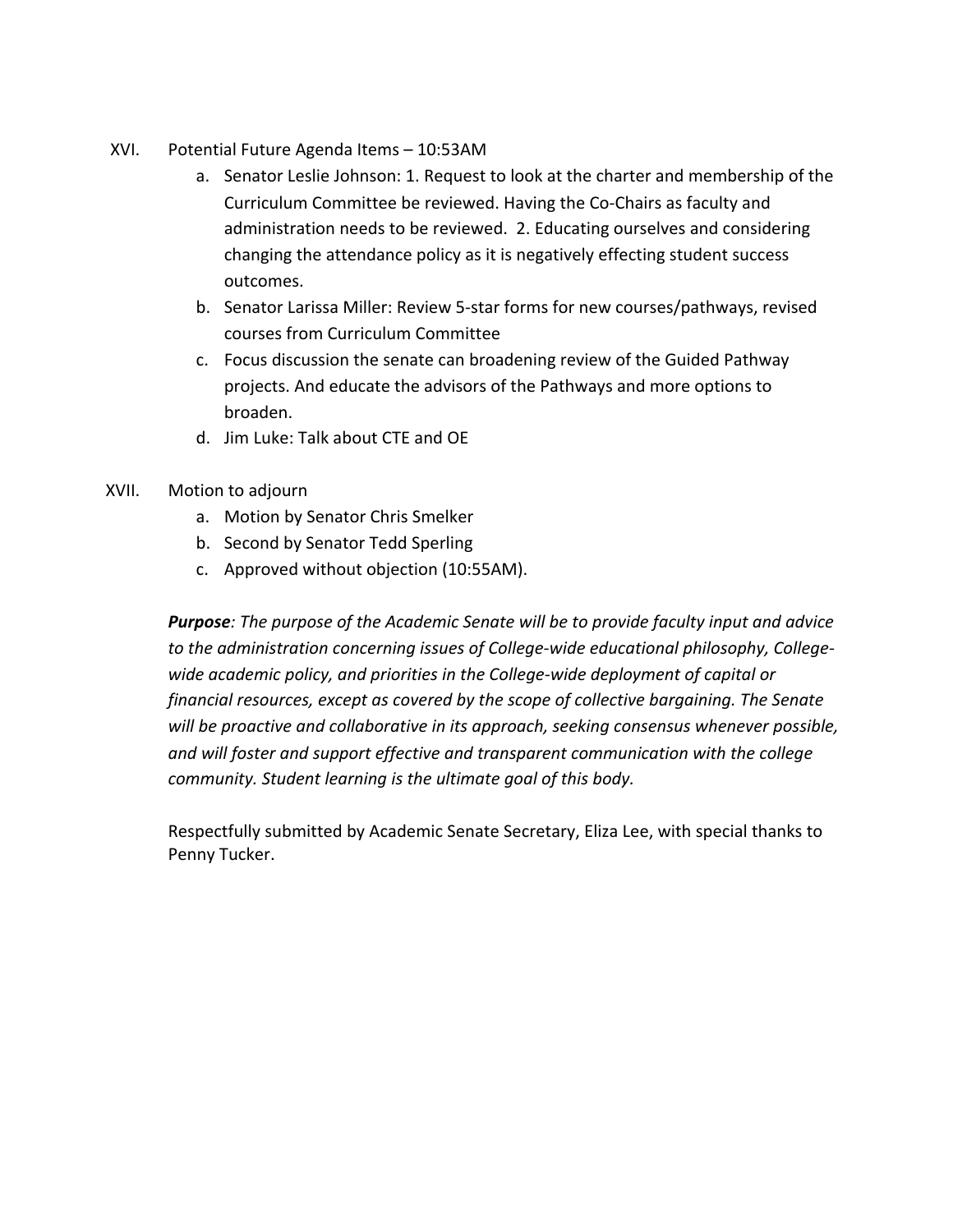- XVI. Potential Future Agenda Items 10:53AM
	- a. Senator Leslie Johnson: 1. Request to look at the charter and membership of the Curriculum Committee be reviewed. Having the Co-Chairs as faculty and administration needs to be reviewed. 2. Educating ourselves and considering changing the attendance policy as it is negatively effecting student success outcomes.
	- b. Senator Larissa Miller: Review 5-star forms for new courses/pathways, revised courses from Curriculum Committee
	- c. Focus discussion the senate can broadening review of the Guided Pathway projects. And educate the advisors of the Pathways and more options to broaden.
	- d. Jim Luke: Talk about CTE and OE
- XVII. Motion to adjourn
	- a. Motion by Senator Chris Smelker
	- b. Second by Senator Tedd Sperling
	- c. Approved without objection (10:55AM).

 *Purpose: The purpose of the Academic Senate will be to provide faculty input and advice to the administration concerning issues of College-wide educational philosophy, College- wide academic policy, and priorities in the College-wide deployment of capital or financial resources, except as covered by the scope of collective bargaining. The Senate will be proactive and collaborative in its approach, seeking consensus whenever possible, and will foster and support effective and transparent communication with the college community. Student learning is the ultimate goal of this body.* 

 Respectfully submitted by Academic Senate Secretary, Eliza Lee, with special thanks to Penny Tucker.